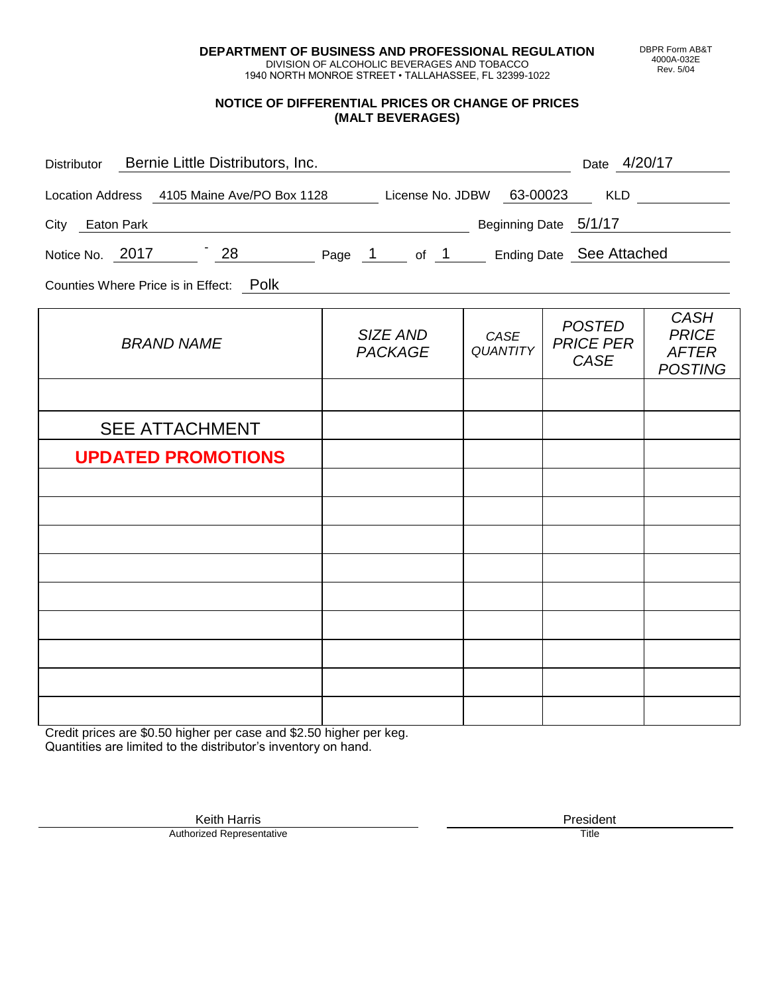**DEPARTMENT OF BUSINESS AND PROFESSIONAL REGULATION** DIVISION OF ALCOHOLIC BEVERAGES AND TOBACCO

1940 NORTH MONROE STREET • TALLAHASSEE, FL 32399-1022

#### **NOTICE OF DIFFERENTIAL PRICES OR CHANGE OF PRICES (MALT BEVERAGES)**

| Distributor Bernie Little Distributors, Inc.                              |                            |                         | Date 4/20/17                                     |                                                               |
|---------------------------------------------------------------------------|----------------------------|-------------------------|--------------------------------------------------|---------------------------------------------------------------|
| Location Address 4105 Maine Ave/PO Box 1128 License No. JDBW 63-00023 KLD |                            |                         |                                                  |                                                               |
| City Eaton Park                                                           | Beginning Date 5/1/17      |                         |                                                  |                                                               |
| Notice No. 2017 28 Page 1 of 1 Ending Date See Attached                   |                            |                         |                                                  |                                                               |
| Counties Where Price is in Effect: Polk                                   |                            |                         |                                                  |                                                               |
| <b>BRAND NAME</b>                                                         | SIZE AND<br><b>PACKAGE</b> | CASE<br><b>QUANTITY</b> | <b>POSTED</b><br><b>PRICE PER</b><br><b>CASE</b> | <b>CASH</b><br><b>PRICE</b><br><b>AFTER</b><br><b>POSTING</b> |
|                                                                           |                            |                         |                                                  |                                                               |
| <b>SEE ATTACHMENT</b>                                                     |                            |                         |                                                  |                                                               |
| <b>UPDATED PROMOTIONS</b>                                                 |                            |                         |                                                  |                                                               |
|                                                                           |                            |                         |                                                  |                                                               |
|                                                                           |                            |                         |                                                  |                                                               |
|                                                                           |                            |                         |                                                  |                                                               |
|                                                                           |                            |                         |                                                  |                                                               |
|                                                                           |                            |                         |                                                  |                                                               |
|                                                                           |                            |                         |                                                  |                                                               |
|                                                                           |                            |                         |                                                  |                                                               |
|                                                                           |                            |                         |                                                  |                                                               |
|                                                                           |                            |                         |                                                  |                                                               |

Credit prices are \$0.50 higher per case and \$2.50 higher per keg. Quantities are limited to the distributor's inventory on hand.

> Keith Harris **President** President **President** President **President** President **President** Authorized Representative

DBPR Form AB&T 4000A-032E Rev. 5/04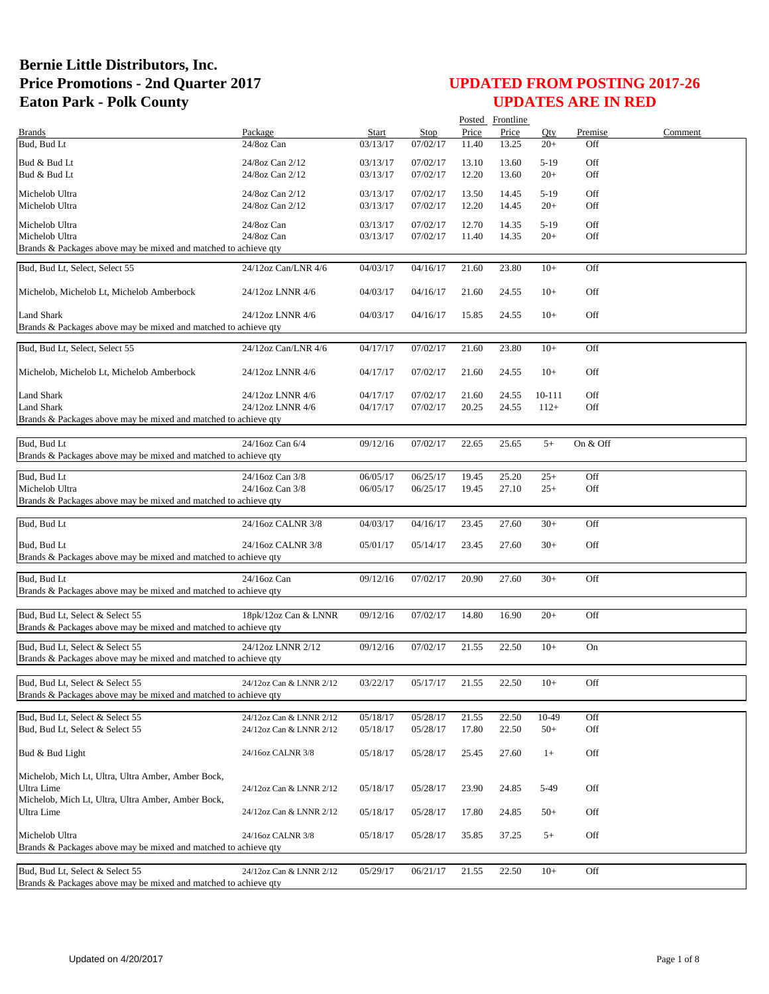|                                                                                                    |                         |              |                      |       | Posted Frontline |        |            |         |
|----------------------------------------------------------------------------------------------------|-------------------------|--------------|----------------------|-------|------------------|--------|------------|---------|
| <b>Brands</b>                                                                                      | Package                 | <b>Start</b> | Stop                 | Price | Price            | Qty    | Premise    | Comment |
| Bud, Bud Lt                                                                                        | 24/8oz Can              | 03/13/17     | 07/02/17             | 11.40 | 13.25            | $20+$  | Off        |         |
| Bud & Bud Lt                                                                                       | 24/8oz Can 2/12         | 03/13/17     | 07/02/17             | 13.10 | 13.60            | $5-19$ | Off        |         |
| Bud & Bud Lt                                                                                       | 24/8oz Can 2/12         | 03/13/17     | 07/02/17             | 12.20 | 13.60            | $20+$  | Off        |         |
|                                                                                                    |                         |              |                      |       |                  |        |            |         |
| Michelob Ultra                                                                                     | 24/8oz Can 2/12         | 03/13/17     | 07/02/17             | 13.50 | 14.45            | $5-19$ | Off<br>Off |         |
| Michelob Ultra                                                                                     | 24/8oz Can 2/12         | 03/13/17     | 07/02/17             | 12.20 | 14.45            | $20+$  |            |         |
| Michelob Ultra                                                                                     | 24/8oz Can              | 03/13/17     | 07/02/17             | 12.70 | 14.35            | $5-19$ | Off        |         |
| Michelob Ultra                                                                                     | 24/8oz Can              | 03/13/17     | 07/02/17             | 11.40 | 14.35            | $20+$  | Off        |         |
| Brands & Packages above may be mixed and matched to achieve qty                                    |                         |              |                      |       |                  |        |            |         |
| Bud, Bud Lt, Select, Select 55                                                                     | 24/12oz Can/LNR 4/6     | 04/03/17     | 04/16/17             | 21.60 | 23.80            | $10+$  | Off        |         |
|                                                                                                    |                         |              |                      |       |                  |        |            |         |
| Michelob, Michelob Lt, Michelob Amberbock                                                          | 24/12oz LNNR 4/6        | 04/03/17     | 04/16/17             | 21.60 | 24.55            | $10+$  | Off        |         |
|                                                                                                    |                         |              |                      |       |                  |        |            |         |
| <b>Land Shark</b>                                                                                  | 24/12oz LNNR 4/6        | 04/03/17     | 04/16/17             | 15.85 | 24.55            | $10+$  | Off        |         |
| Brands & Packages above may be mixed and matched to achieve qty                                    |                         |              |                      |       |                  |        |            |         |
|                                                                                                    |                         |              |                      |       |                  |        |            |         |
| Bud, Bud Lt, Select, Select 55                                                                     | 24/12oz Can/LNR 4/6     | 04/17/17     | 07/02/17             | 21.60 | 23.80            | $10+$  | Off        |         |
|                                                                                                    |                         |              |                      |       |                  |        |            |         |
| Michelob, Michelob Lt, Michelob Amberbock                                                          | 24/12oz LNNR 4/6        | 04/17/17     | 07/02/17             | 21.60 | 24.55            | $10+$  | Off        |         |
|                                                                                                    |                         |              |                      |       |                  |        |            |         |
| <b>Land Shark</b>                                                                                  | 24/12oz LNNR 4/6        | 04/17/17     | 07/02/17<br>07/02/17 | 21.60 | 24.55            | 10-111 | Off        |         |
| <b>Land Shark</b><br>Brands & Packages above may be mixed and matched to achieve qty               | 24/12oz LNNR 4/6        | 04/17/17     |                      | 20.25 | 24.55            | $112+$ | Off        |         |
|                                                                                                    |                         |              |                      |       |                  |        |            |         |
| Bud, Bud Lt                                                                                        | 24/16oz Can 6/4         | 09/12/16     | 07/02/17             | 22.65 | 25.65            | $5+$   | On & Off   |         |
| Brands & Packages above may be mixed and matched to achieve qty                                    |                         |              |                      |       |                  |        |            |         |
|                                                                                                    |                         |              |                      |       |                  |        |            |         |
| Bud, Bud Lt                                                                                        | 24/16oz Can 3/8         | 06/05/17     | 06/25/17             | 19.45 | 25.20            | $25+$  | Off        |         |
| Michelob Ultra                                                                                     | 24/16oz Can 3/8         | 06/05/17     | 06/25/17             | 19.45 | 27.10            | $25+$  | Off        |         |
| Brands & Packages above may be mixed and matched to achieve qty                                    |                         |              |                      |       |                  |        |            |         |
|                                                                                                    |                         |              |                      |       |                  |        |            |         |
| Bud, Bud Lt                                                                                        | 24/16oz CALNR 3/8       | 04/03/17     | 04/16/17             | 23.45 | 27.60            | $30+$  | Off        |         |
|                                                                                                    |                         |              |                      |       |                  |        |            |         |
| Bud, Bud Lt                                                                                        | 24/16oz CALNR 3/8       | 05/01/17     | 05/14/17             | 23.45 | 27.60            | $30+$  | Off        |         |
| Brands & Packages above may be mixed and matched to achieve qty                                    |                         |              |                      |       |                  |        |            |         |
| Bud, Bud Lt                                                                                        | 24/16oz Can             | 09/12/16     | 07/02/17             | 20.90 | 27.60            | $30+$  | Off        |         |
| Brands & Packages above may be mixed and matched to achieve qty                                    |                         |              |                      |       |                  |        |            |         |
|                                                                                                    |                         |              |                      |       |                  |        |            |         |
| Bud, Bud Lt, Select & Select 55                                                                    | 18pk/12oz Can & LNNR    | 09/12/16     | 07/02/17             | 14.80 | 16.90            | $20+$  | Off        |         |
| Brands & Packages above may be mixed and matched to achieve qty                                    |                         |              |                      |       |                  |        |            |         |
|                                                                                                    |                         |              |                      |       |                  |        |            |         |
| Bud, Bud Lt, Select & Select 55                                                                    | 24/12oz LNNR 2/12       | 09/12/16     | 07/02/17             | 21.55 | 22.50            | $10+$  | On         |         |
| Brands & Packages above may be mixed and matched to achieve qty                                    |                         |              |                      |       |                  |        |            |         |
|                                                                                                    |                         |              |                      |       |                  |        |            |         |
| Bud, Bud Lt, Select & Select 55<br>Brands & Packages above may be mixed and matched to achieve qty | 24/12oz Can & LNNR 2/12 | 03/22/17     | 05/17/17             | 21.55 | 22.50            | $10+$  | Off        |         |
|                                                                                                    |                         |              |                      |       |                  |        |            |         |
| Bud, Bud Lt, Select & Select 55                                                                    | 24/12oz Can & LNNR 2/12 | 05/18/17     | 05/28/17             | 21.55 | 22.50            | 10-49  | Off        |         |
| Bud, Bud Lt, Select & Select 55                                                                    | 24/12oz Can & LNNR 2/12 | 05/18/17     | 05/28/17             | 17.80 | 22.50            | $50+$  | Off        |         |
|                                                                                                    |                         |              |                      |       |                  |        |            |         |
| Bud & Bud Light                                                                                    | 24/16oz CALNR 3/8       | 05/18/17     | 05/28/17             | 25.45 | 27.60            | $1+$   | Off        |         |
|                                                                                                    |                         |              |                      |       |                  |        |            |         |
| Michelob, Mich Lt, Ultra, Ultra Amber, Amber Bock,                                                 |                         |              |                      |       |                  |        |            |         |
| Ultra Lime                                                                                         | 24/12oz Can & LNNR 2/12 | 05/18/17     | 05/28/17             | 23.90 | 24.85            | 5-49   | Off        |         |
| Michelob, Mich Lt, Ultra, Ultra Amber, Amber Bock,                                                 |                         |              |                      |       |                  |        |            |         |
| Ultra Lime                                                                                         | 24/12oz Can & LNNR 2/12 | 05/18/17     | 05/28/17             | 17.80 | 24.85            | $50+$  | Off        |         |
|                                                                                                    |                         |              |                      |       |                  |        |            |         |
| Michelob Ultra                                                                                     | 24/16oz CALNR 3/8       | 05/18/17     | 05/28/17             | 35.85 | 37.25            | $5+$   | Off        |         |
| Brands & Packages above may be mixed and matched to achieve qty                                    |                         |              |                      |       |                  |        |            |         |
|                                                                                                    |                         |              |                      |       |                  |        |            |         |
| Bud, Bud Lt, Select & Select 55<br>Brands & Packages above may be mixed and matched to achieve qty | 24/12oz Can & LNNR 2/12 | 05/29/17     | 06/21/17             | 21.55 | 22.50            | $10+$  | Off        |         |
|                                                                                                    |                         |              |                      |       |                  |        |            |         |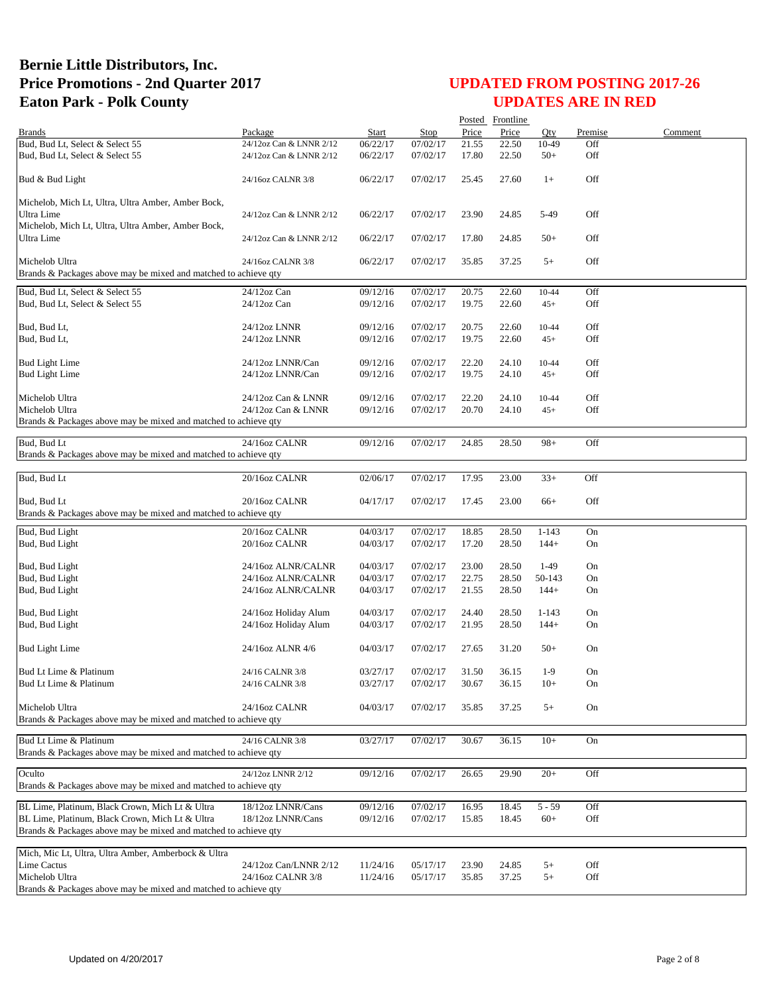| Posted Frontline                                                                  |                                      |                      |                      |                |                |                |            |         |
|-----------------------------------------------------------------------------------|--------------------------------------|----------------------|----------------------|----------------|----------------|----------------|------------|---------|
| <b>Brands</b>                                                                     | Package                              | Start                | Stop                 | Price          | Price          | Oty            | Premise    | Comment |
| Bud, Bud Lt, Select & Select 55                                                   | 24/12oz Can & LNNR 2/12              | 06/22/17             | 07/02/17             | 21.55          | 22.50          | 10-49          | Off        |         |
| Bud, Bud Lt, Select & Select 55                                                   | 24/12oz Can & LNNR 2/12              | 06/22/17             | 07/02/17             | 17.80          | 22.50          | $50+$          | Off        |         |
| Bud & Bud Light                                                                   | 24/16oz CALNR 3/8                    | 06/22/17             | 07/02/17             | 25.45          | 27.60          | $1+$           | Off        |         |
| Michelob, Mich Lt, Ultra, Ultra Amber, Amber Bock,                                |                                      |                      |                      |                |                |                |            |         |
| Ultra Lime                                                                        | 24/12oz Can & LNNR 2/12              | 06/22/17             | 07/02/17             | 23.90          | 24.85          | 5-49           | Off        |         |
| Michelob, Mich Lt, Ultra, Ultra Amber, Amber Bock,                                |                                      |                      |                      |                |                |                |            |         |
| Ultra Lime                                                                        | 24/12oz Can & LNNR 2/12              | 06/22/17             | 07/02/17             | 17.80          | 24.85          | $50+$          | Off        |         |
|                                                                                   |                                      |                      |                      |                |                |                | Off        |         |
| Michelob Ultra<br>Brands & Packages above may be mixed and matched to achieve qty | 24/16oz CALNR 3/8                    | 06/22/17             | 07/02/17             | 35.85          | 37.25          | $5+$           |            |         |
| Bud, Bud Lt, Select & Select 55                                                   | 24/12oz Can                          | 09/12/16             | 07/02/17             | 20.75          | 22.60          | 10-44          | Off        |         |
| Bud, Bud Lt, Select & Select 55                                                   | $24/12$ oz Can                       | 09/12/16             | 07/02/17             | 19.75          | 22.60          | $45+$          | Off        |         |
|                                                                                   |                                      |                      |                      |                |                |                |            |         |
| Bud, Bud Lt,                                                                      | 24/12oz LNNR                         | 09/12/16             | 07/02/17             | 20.75          | 22.60          | 10-44          | Off        |         |
| Bud, Bud Lt,                                                                      | 24/12oz LNNR                         | 09/12/16             | 07/02/17             | 19.75          | 22.60          | $45+$          | Off        |         |
|                                                                                   |                                      |                      |                      |                |                |                |            |         |
| <b>Bud Light Lime</b><br><b>Bud Light Lime</b>                                    | 24/12oz LNNR/Can<br>24/12oz LNNR/Can | 09/12/16<br>09/12/16 | 07/02/17<br>07/02/17 | 22.20<br>19.75 | 24.10<br>24.10 | 10-44<br>$45+$ | Off<br>Off |         |
|                                                                                   |                                      |                      |                      |                |                |                |            |         |
| Michelob Ultra                                                                    | 24/12oz Can & LNNR                   | 09/12/16             | 07/02/17             | 22.20          | 24.10          | 10-44          | Off        |         |
| Michelob Ultra                                                                    | 24/12oz Can & LNNR                   | 09/12/16             | 07/02/17             | 20.70          | 24.10          | $45+$          | Off        |         |
| Brands & Packages above may be mixed and matched to achieve qty                   |                                      |                      |                      |                |                |                |            |         |
| Bud, Bud Lt                                                                       | 24/16oz CALNR                        | 09/12/16             | 07/02/17             | 24.85          | 28.50          | $98+$          | Off        |         |
| Brands & Packages above may be mixed and matched to achieve qty                   |                                      |                      |                      |                |                |                |            |         |
|                                                                                   |                                      |                      |                      |                |                |                |            |         |
| Bud, Bud Lt                                                                       | 20/16oz CALNR                        | 02/06/17             | 07/02/17             | 17.95          | 23.00          | $33+$          | Off        |         |
|                                                                                   |                                      |                      |                      |                |                |                |            |         |
| Bud, Bud Lt                                                                       | 20/16oz CALNR                        | 04/17/17             | 07/02/17             | 17.45          | 23.00          | $66+$          | Off        |         |
| Brands & Packages above may be mixed and matched to achieve qty                   |                                      |                      |                      |                |                |                |            |         |
| Bud, Bud Light                                                                    | 20/16oz CALNR                        | 04/03/17             | 07/02/17             | 18.85          | 28.50          | $1 - 143$      | On         |         |
| Bud, Bud Light                                                                    | 20/16oz CALNR                        | 04/03/17             | 07/02/17             | 17.20          | 28.50          | $144+$         | On         |         |
| Bud, Bud Light                                                                    | 24/16oz ALNR/CALNR                   | 04/03/17             | 07/02/17             | 23.00          | 28.50          | $1-49$         | On         |         |
| Bud, Bud Light                                                                    | 24/16oz ALNR/CALNR                   | 04/03/17             | 07/02/17             | 22.75          | 28.50          | 50-143         | On         |         |
| Bud, Bud Light                                                                    | 24/16oz ALNR/CALNR                   | 04/03/17             | 07/02/17             | 21.55          | 28.50          | $144+$         | On         |         |
|                                                                                   |                                      |                      |                      |                |                |                |            |         |
| Bud, Bud Light                                                                    | 24/16oz Holiday Alum                 | 04/03/17             | 07/02/17             | 24.40          | 28.50          | $1 - 143$      | On         |         |
| Bud, Bud Light                                                                    | 24/16oz Holiday Alum                 | 04/03/17             | 07/02/17             | 21.95          | 28.50          | $144+$         | On         |         |
|                                                                                   |                                      |                      |                      |                |                |                |            |         |
| <b>Bud Light Lime</b>                                                             | 24/16oz ALNR 4/6                     | 04/03/17             | 07/02/17             | 27.65          | 31.20          | $50+$          | On         |         |
| Bud Lt Lime & Platinum                                                            | 24/16 CALNR 3/8                      | 03/27/17             | 07/02/17             | 31.50          | 36.15          | $1-9$          | On         |         |
| Bud Lt Lime & Platinum                                                            | 24/16 CALNR 3/8                      | 03/27/17             | 07/02/17             | 30.67          | 36.15          | $10+$          | On         |         |
|                                                                                   |                                      |                      |                      |                |                |                |            |         |
| Michelob Ultra                                                                    | 24/16oz CALNR                        | 04/03/17             | 07/02/17             | 35.85          | 37.25          | $5+$           | On         |         |
| Brands & Packages above may be mixed and matched to achieve qty                   |                                      |                      |                      |                |                |                |            |         |
| Bud Lt Lime & Platinum                                                            | 24/16 CALNR 3/8                      | 03/27/17             | 07/02/17             | 30.67          | 36.15          | $10+$          | On         |         |
| Brands & Packages above may be mixed and matched to achieve qty                   |                                      |                      |                      |                |                |                |            |         |
|                                                                                   |                                      |                      |                      |                |                |                |            |         |
| Oculto                                                                            | 24/12oz LNNR 2/12                    | 09/12/16             | 07/02/17             | 26.65          | 29.90          | $20+$          | Off        |         |
| Brands & Packages above may be mixed and matched to achieve gty                   |                                      |                      |                      |                |                |                |            |         |
| BL Lime, Platinum, Black Crown, Mich Lt & Ultra                                   | 18/12oz LNNR/Cans                    | 09/12/16             | 07/02/17             | 16.95          | 18.45          | $5 - 59$       | Off        |         |
| BL Lime, Platinum, Black Crown, Mich Lt & Ultra                                   | 18/12oz LNNR/Cans                    | 09/12/16             | 07/02/17             | 15.85          | 18.45          | $60+$          | Off        |         |
| Brands & Packages above may be mixed and matched to achieve qty                   |                                      |                      |                      |                |                |                |            |         |
|                                                                                   |                                      |                      |                      |                |                |                |            |         |
| Mich, Mic Lt, Ultra, Ultra Amber, Amberbock & Ultra                               |                                      |                      |                      |                |                |                |            |         |
| Lime Cactus                                                                       | 24/12oz Can/LNNR 2/12                | 11/24/16             | 05/17/17             | 23.90          | 24.85          | $5+$           | Off        |         |
| Michelob Ultra                                                                    | 24/16oz CALNR 3/8                    | 11/24/16             | 05/17/17             | 35.85          | 37.25          | $5+$           | Off        |         |
| Brands & Packages above may be mixed and matched to achieve qty                   |                                      |                      |                      |                |                |                |            |         |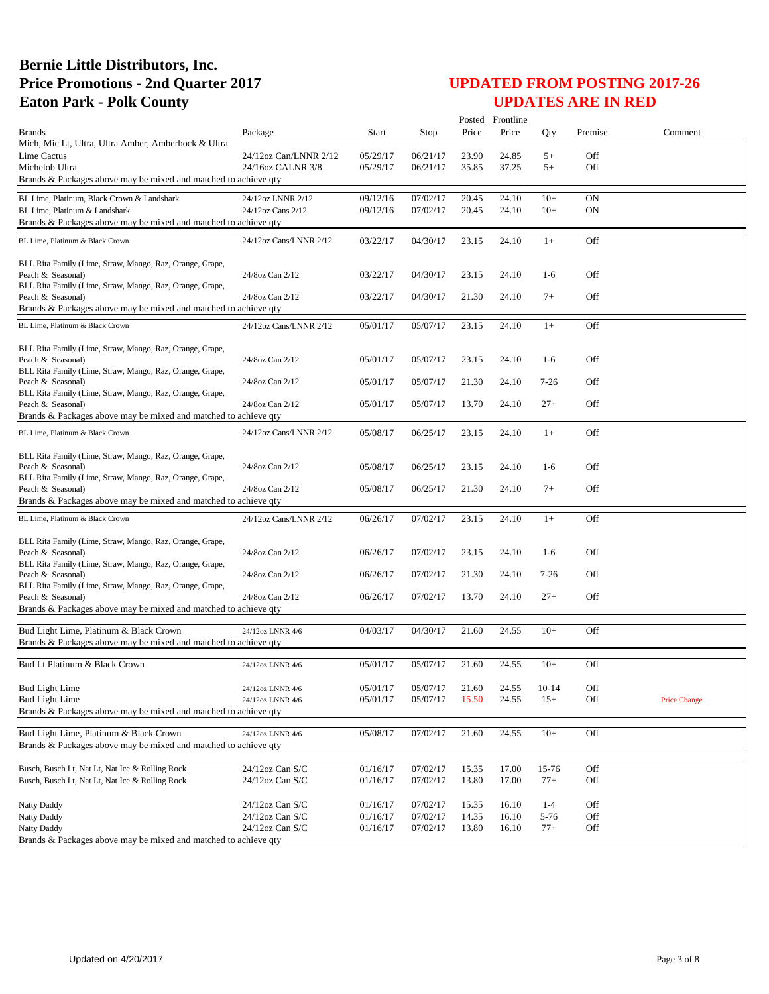|                                                                                          |                        |          |          |       | Posted Frontline |          |           |                     |
|------------------------------------------------------------------------------------------|------------------------|----------|----------|-------|------------------|----------|-----------|---------------------|
| <b>Brands</b>                                                                            | Package                | Start    | Stop     | Price | Price            | Oty      | Premise   | Comment             |
| Mich, Mic Lt, Ultra, Ultra Amber, Amberbock & Ultra                                      |                        |          |          |       |                  |          |           |                     |
| <b>Lime Cactus</b>                                                                       | 24/12oz Can/LNNR 2/12  | 05/29/17 | 06/21/17 | 23.90 | 24.85            | $5+$     | Off       |                     |
| Michelob Ultra                                                                           | 24/16oz CALNR 3/8      | 05/29/17 | 06/21/17 | 35.85 | 37.25            | $5+$     | Off       |                     |
| Brands & Packages above may be mixed and matched to achieve qty                          |                        |          |          |       |                  |          |           |                     |
| BL Lime, Platinum, Black Crown & Landshark                                               | 24/12oz LNNR 2/12      | 09/12/16 | 07/02/17 | 20.45 | 24.10            | $10+$    | ON        |                     |
| BL Lime, Platinum & Landshark                                                            | 24/12oz Cans 2/12      | 09/12/16 | 07/02/17 | 20.45 | 24.10            | $10+$    | <b>ON</b> |                     |
| Brands & Packages above may be mixed and matched to achieve qty                          |                        |          |          |       |                  |          |           |                     |
|                                                                                          |                        |          |          |       |                  |          |           |                     |
| BL Lime, Platinum & Black Crown                                                          | 24/12oz Cans/LNNR 2/12 | 03/22/17 | 04/30/17 | 23.15 | 24.10            | $1+$     | Off       |                     |
|                                                                                          |                        |          |          |       |                  |          |           |                     |
| BLL Rita Family (Lime, Straw, Mango, Raz, Orange, Grape,<br>Peach & Seasonal)            | 24/8oz Can 2/12        | 03/22/17 | 04/30/17 | 23.15 | 24.10            | $1-6$    | Off       |                     |
| BLL Rita Family (Lime, Straw, Mango, Raz, Orange, Grape,                                 |                        |          |          |       |                  |          |           |                     |
| Peach & Seasonal)                                                                        | 24/8oz Can 2/12        | 03/22/17 | 04/30/17 | 21.30 | 24.10            | $7+$     | Off       |                     |
| Brands & Packages above may be mixed and matched to achieve qty                          |                        |          |          |       |                  |          |           |                     |
|                                                                                          |                        |          |          |       |                  |          |           |                     |
| BL Lime, Platinum & Black Crown                                                          | 24/12oz Cans/LNNR 2/12 | 05/01/17 | 05/07/17 | 23.15 | 24.10            | $1+$     | Off       |                     |
| BLL Rita Family (Lime, Straw, Mango, Raz, Orange, Grape,                                 |                        |          |          |       |                  |          |           |                     |
| Peach & Seasonal)                                                                        | 24/8oz Can 2/12        | 05/01/17 | 05/07/17 | 23.15 | 24.10            | $1-6$    | Off       |                     |
| BLL Rita Family (Lime, Straw, Mango, Raz, Orange, Grape,                                 |                        |          |          |       |                  |          |           |                     |
| Peach & Seasonal)                                                                        | 24/8oz Can 2/12        | 05/01/17 | 05/07/17 | 21.30 | 24.10            | $7-26$   | Off       |                     |
| BLL Rita Family (Lime, Straw, Mango, Raz, Orange, Grape,                                 |                        |          |          |       |                  |          |           |                     |
| Peach & Seasonal)                                                                        | 24/8oz Can 2/12        | 05/01/17 | 05/07/17 | 13.70 | 24.10            | $27+$    | Off       |                     |
| Brands & Packages above may be mixed and matched to achieve gty                          |                        |          |          |       |                  |          |           |                     |
| BL Lime, Platinum & Black Crown                                                          | 24/12oz Cans/LNNR 2/12 | 05/08/17 | 06/25/17 | 23.15 | 24.10            | $1+$     | Off       |                     |
|                                                                                          |                        |          |          |       |                  |          |           |                     |
| BLL Rita Family (Lime, Straw, Mango, Raz, Orange, Grape,                                 |                        |          |          |       |                  |          |           |                     |
| Peach & Seasonal)                                                                        | 24/8oz Can 2/12        | 05/08/17 | 06/25/17 | 23.15 | 24.10            | $1-6$    | Off       |                     |
| BLL Rita Family (Lime, Straw, Mango, Raz, Orange, Grape,                                 |                        |          |          |       |                  |          |           |                     |
| Peach & Seasonal)                                                                        | 24/8oz Can 2/12        | 05/08/17 | 06/25/17 | 21.30 | 24.10            | $7+$     | Off       |                     |
| Brands & Packages above may be mixed and matched to achieve qty                          |                        |          |          |       |                  |          |           |                     |
| BL Lime, Platinum & Black Crown                                                          | 24/12oz Cans/LNNR 2/12 | 06/26/17 | 07/02/17 | 23.15 | 24.10            | $1+$     | Off       |                     |
|                                                                                          |                        |          |          |       |                  |          |           |                     |
| BLL Rita Family (Lime, Straw, Mango, Raz, Orange, Grape,                                 |                        |          |          |       |                  |          |           |                     |
| Peach & Seasonal)                                                                        | 24/8oz Can 2/12        | 06/26/17 | 07/02/17 | 23.15 | 24.10            | $1-6$    | Off       |                     |
| BLL Rita Family (Lime, Straw, Mango, Raz, Orange, Grape,                                 |                        |          |          |       |                  |          | Off       |                     |
| Peach & Seasonal)<br>BLL Rita Family (Lime, Straw, Mango, Raz, Orange, Grape,            | 24/8oz Can 2/12        | 06/26/17 | 07/02/17 | 21.30 | 24.10            | $7 - 26$ |           |                     |
| Peach & Seasonal)                                                                        | 24/8oz Can 2/12        | 06/26/17 | 07/02/17 | 13.70 | 24.10            | $27+$    | Off       |                     |
| Brands & Packages above may be mixed and matched to achieve qty                          |                        |          |          |       |                  |          |           |                     |
|                                                                                          |                        |          |          |       |                  |          |           |                     |
| Bud Light Lime, Platinum & Black Crown                                                   | 24/12oz LNNR 4/6       | 04/03/17 | 04/30/17 | 21.60 | 24.55            | $10+$    | Off       |                     |
| Brands & Packages above may be mixed and matched to achieve qty                          |                        |          |          |       |                  |          |           |                     |
|                                                                                          |                        |          |          |       |                  |          |           |                     |
| Bud Lt Platinum & Black Crown                                                            | 24/12oz LNNR 4/6       | 05/01/17 | 05/07/17 | 21.60 | 24.55            | $10+$    | Off       |                     |
|                                                                                          |                        |          |          |       |                  |          |           |                     |
| <b>Bud Light Lime</b>                                                                    | 24/12oz LNNR 4/6       | 05/01/17 | 05/07/17 | 21.60 | 24.55            | $10-14$  | Off       |                     |
| <b>Bud Light Lime</b><br>Brands & Packages above may be mixed and matched to achieve qty | 24/12oz LNNR 4/6       | 05/01/17 | 05/07/17 | 15.50 | 24.55            | $15+$    | Off       | <b>Price Change</b> |
|                                                                                          |                        |          |          |       |                  |          |           |                     |
| Bud Light Lime, Platinum & Black Crown                                                   | 24/12oz LNNR 4/6       | 05/08/17 | 07/02/17 | 21.60 | 24.55            | $10+$    | Off       |                     |
| Brands & Packages above may be mixed and matched to achieve qty                          |                        |          |          |       |                  |          |           |                     |
|                                                                                          |                        |          |          |       |                  |          |           |                     |
| Busch, Busch Lt, Nat Lt, Nat Ice & Rolling Rock                                          | 24/12oz Can S/C        | 01/16/17 | 07/02/17 | 15.35 | 17.00            | 15-76    | Off       |                     |
| Busch, Busch Lt, Nat Lt, Nat Ice & Rolling Rock                                          | 24/12oz Can S/C        | 01/16/17 | 07/02/17 | 13.80 | 17.00            | $77+$    | Off       |                     |
|                                                                                          |                        |          |          |       |                  |          |           |                     |
| Natty Daddy                                                                              | 24/12oz Can S/C        | 01/16/17 | 07/02/17 | 15.35 | 16.10            | $1 - 4$  | Off       |                     |
| <b>Natty Daddy</b>                                                                       | 24/12oz Can S/C        | 01/16/17 | 07/02/17 | 14.35 | 16.10            | 5-76     | Off       |                     |
| Natty Daddy                                                                              | 24/12oz Can S/C        | 01/16/17 | 07/02/17 | 13.80 | 16.10            | $77+$    | Off       |                     |
| Brands & Packages above may be mixed and matched to achieve qty                          |                        |          |          |       |                  |          |           |                     |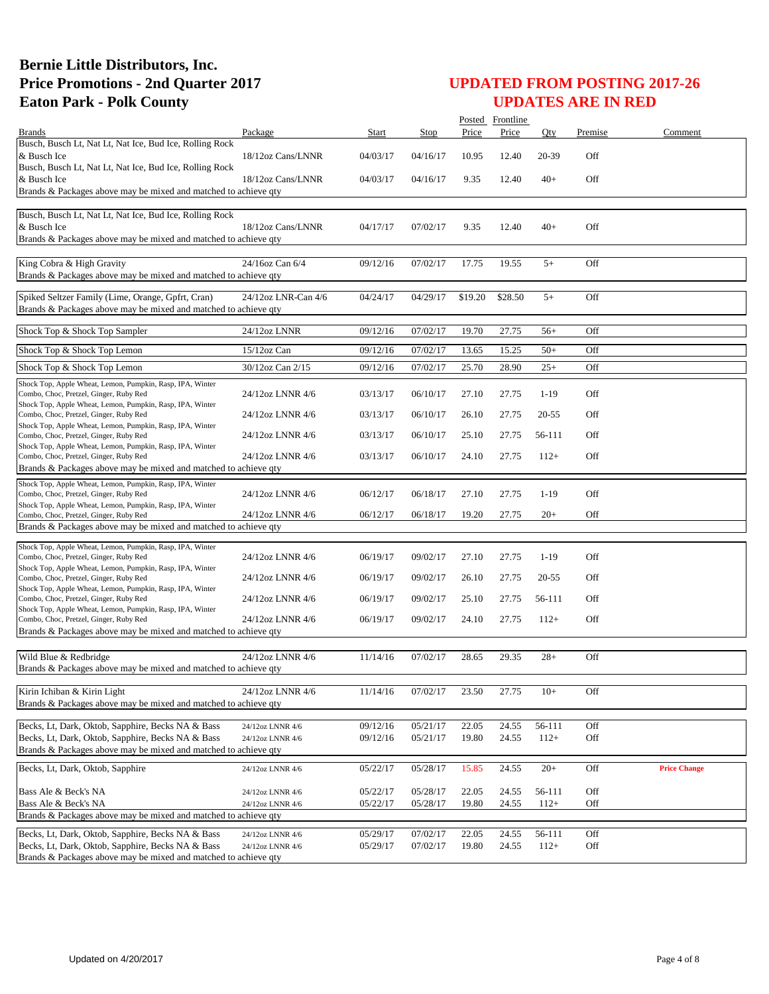|                                                                                                     |                                      |          |                      |                | Posted Frontline |                  |         |                     |
|-----------------------------------------------------------------------------------------------------|--------------------------------------|----------|----------------------|----------------|------------------|------------------|---------|---------------------|
| <b>Brands</b>                                                                                       | Package                              | Start    | Stop                 | Price          | Price            | Qty              | Premise | Comment             |
| Busch, Busch Lt, Nat Lt, Nat Ice, Bud Ice, Rolling Rock                                             |                                      |          |                      |                |                  |                  |         |                     |
| & Busch Ice<br>Busch, Busch Lt, Nat Lt, Nat Ice, Bud Ice, Rolling Rock                              | 18/12oz Cans/LNNR                    | 04/03/17 | 04/16/17             | 10.95          | 12.40            | 20-39            | Off     |                     |
| & Busch Ice                                                                                         | 18/12oz Cans/LNNR                    | 04/03/17 | 04/16/17             | 9.35           | 12.40            | $40+$            | Off     |                     |
| Brands & Packages above may be mixed and matched to achieve qty                                     |                                      |          |                      |                |                  |                  |         |                     |
|                                                                                                     |                                      |          |                      |                |                  |                  |         |                     |
| Busch, Busch Lt, Nat Lt, Nat Ice, Bud Ice, Rolling Rock                                             |                                      |          |                      |                |                  |                  |         |                     |
| & Busch Ice<br>Brands & Packages above may be mixed and matched to achieve qty                      | 18/12oz Cans/LNNR                    | 04/17/17 | 07/02/17             | 9.35           | 12.40            | $40+$            | Off     |                     |
|                                                                                                     |                                      |          |                      |                |                  |                  |         |                     |
| King Cobra & High Gravity                                                                           | 24/16oz Can 6/4                      | 09/12/16 | 07/02/17             | 17.75          | 19.55            | $5+$             | Off     |                     |
| Brands & Packages above may be mixed and matched to achieve qty                                     |                                      |          |                      |                |                  |                  |         |                     |
| Spiked Seltzer Family (Lime, Orange, Gpfrt, Cran)                                                   | 24/12oz LNR-Can 4/6                  | 04/24/17 | 04/29/17             | \$19.20        | \$28.50          | $5+$             | Off     |                     |
| Brands & Packages above may be mixed and matched to achieve qty                                     |                                      |          |                      |                |                  |                  |         |                     |
|                                                                                                     |                                      |          |                      |                |                  |                  |         |                     |
| Shock Top & Shock Top Sampler                                                                       | 24/12oz LNNR                         | 09/12/16 | 07/02/17             | 19.70          | 27.75            | $56+$            | Off     |                     |
| Shock Top & Shock Top Lemon                                                                         | $15/12$ oz Can                       | 09/12/16 | 07/02/17             | 13.65          | 15.25            | $50+$            | Off     |                     |
| Shock Top & Shock Top Lemon                                                                         |                                      |          |                      |                |                  |                  | Off     |                     |
|                                                                                                     | 30/12oz Can 2/15                     | 09/12/16 | 07/02/17             | 25.70          | 28.90            | $25+$            |         |                     |
| Shock Top, Apple Wheat, Lemon, Pumpkin, Rasp, IPA, Winter<br>Combo, Choc, Pretzel, Ginger, Ruby Red | 24/12oz LNNR 4/6                     | 03/13/17 | 06/10/17             | 27.10          | 27.75            | $1-19$           | Off     |                     |
| Shock Top, Apple Wheat, Lemon, Pumpkin, Rasp, IPA, Winter                                           |                                      |          |                      |                |                  |                  |         |                     |
| Combo, Choc, Pretzel, Ginger, Ruby Red                                                              | 24/12oz LNNR 4/6                     | 03/13/17 | 06/10/17             | 26.10          | 27.75            | $20 - 55$        | Off     |                     |
| Shock Top, Apple Wheat, Lemon, Pumpkin, Rasp, IPA, Winter<br>Combo, Choc, Pretzel, Ginger, Ruby Red | 24/12oz LNNR 4/6                     | 03/13/17 | 06/10/17             | 25.10          | 27.75            | 56-111           | Off     |                     |
| Shock Top, Apple Wheat, Lemon, Pumpkin, Rasp, IPA, Winter                                           |                                      |          |                      |                |                  |                  |         |                     |
| Combo, Choc, Pretzel, Ginger, Ruby Red                                                              | 24/12oz LNNR 4/6                     | 03/13/17 | 06/10/17             | 24.10          | 27.75            | $112+$           | Off     |                     |
| Brands & Packages above may be mixed and matched to achieve qty                                     |                                      |          |                      |                |                  |                  |         |                     |
| Shock Top, Apple Wheat, Lemon, Pumpkin, Rasp, IPA, Winter                                           |                                      |          |                      |                |                  |                  | Off     |                     |
| Combo, Choc, Pretzel, Ginger, Ruby Red<br>Shock Top, Apple Wheat, Lemon, Pumpkin, Rasp, IPA, Winter | 24/12oz LNNR 4/6                     | 06/12/17 | 06/18/17             | 27.10          | 27.75            | $1-19$           |         |                     |
| Combo, Choc, Pretzel, Ginger, Ruby Red                                                              | 24/12oz LNNR 4/6                     | 06/12/17 | 06/18/17             | 19.20          | 27.75            | $20+$            | Off     |                     |
| Brands & Packages above may be mixed and matched to achieve qty                                     |                                      |          |                      |                |                  |                  |         |                     |
| Shock Top, Apple Wheat, Lemon, Pumpkin, Rasp, IPA, Winter                                           |                                      |          |                      |                |                  |                  |         |                     |
| Combo, Choc, Pretzel, Ginger, Ruby Red                                                              | 24/12oz LNNR 4/6                     | 06/19/17 | 09/02/17             | 27.10          | 27.75            | $1-19$           | Off     |                     |
| Shock Top, Apple Wheat, Lemon, Pumpkin, Rasp, IPA, Winter<br>Combo, Choc, Pretzel, Ginger, Ruby Red | 24/12oz LNNR 4/6                     | 06/19/17 | 09/02/17             | 26.10          | 27.75            | $20 - 55$        | Off     |                     |
| Shock Top, Apple Wheat, Lemon, Pumpkin, Rasp, IPA, Winter                                           |                                      |          |                      |                |                  |                  |         |                     |
| Combo, Choc, Pretzel, Ginger, Ruby Red                                                              | 24/12oz LNNR 4/6                     | 06/19/17 | 09/02/17             | 25.10          | 27.75            | 56-111           | Off     |                     |
| Shock Top, Apple Wheat, Lemon, Pumpkin, Rasp, IPA, Winter<br>Combo, Choc, Pretzel, Ginger, Ruby Red | 24/12oz LNNR 4/6                     | 06/19/17 | 09/02/17             | 24.10          | 27.75            | $112+$           | Off     |                     |
| Brands & Packages above may be mixed and matched to achieve qty                                     |                                      |          |                      |                |                  |                  |         |                     |
|                                                                                                     |                                      |          |                      |                |                  |                  |         |                     |
| Wild Blue & Redbridge                                                                               | 24/12oz LNNR 4/6                     | 11/14/16 | 07/02/17             | 28.65          | 29.35            | $28+$            | Off     |                     |
| Brands & Packages above may be mixed and matched to achieve qty                                     |                                      |          |                      |                |                  |                  |         |                     |
| Kirin Ichiban & Kirin Light                                                                         | 24/12oz LNNR 4/6                     | 11/14/16 | 07/02/17             | 23.50          | 27.75            | $10+$            | Off     |                     |
| Brands & Packages above may be mixed and matched to achieve qty                                     |                                      |          |                      |                |                  |                  |         |                     |
|                                                                                                     |                                      |          |                      |                |                  |                  |         |                     |
| Becks, Lt, Dark, Oktob, Sapphire, Becks NA & Bass                                                   | 24/12oz LNNR 4/6                     | 09/12/16 | 05/21/17             | 22.05          | 24.55            | 56-111           | Off     |                     |
| Becks, Lt, Dark, Oktob, Sapphire, Becks NA & Bass                                                   | 24/12oz LNNR 4/6                     | 09/12/16 | 05/21/17             | 19.80          | 24.55            | $112+$           | Off     |                     |
| Brands & Packages above may be mixed and matched to achieve qty                                     |                                      |          |                      |                |                  |                  |         |                     |
| Becks, Lt, Dark, Oktob, Sapphire                                                                    | 24/12oz LNNR 4/6                     | 05/22/17 | 05/28/17             | 15.85          | 24.55            | $20+$            | Off     | <b>Price Change</b> |
| Bass Ale & Beck's NA                                                                                |                                      | 05/22/17 |                      |                |                  |                  | Off     |                     |
| Bass Ale & Beck's NA                                                                                | 24/12oz LNNR 4/6<br>24/12oz LNNR 4/6 | 05/22/17 | 05/28/17<br>05/28/17 | 22.05<br>19.80 | 24.55<br>24.55   | 56-111<br>$112+$ | Off     |                     |
| Brands & Packages above may be mixed and matched to achieve qty                                     |                                      |          |                      |                |                  |                  |         |                     |
| Becks, Lt, Dark, Oktob, Sapphire, Becks NA & Bass                                                   | 24/12oz LNNR 4/6                     | 05/29/17 | 07/02/17             | 22.05          | 24.55            | 56-111           | Off     |                     |
| Becks, Lt, Dark, Oktob, Sapphire, Becks NA & Bass                                                   | 24/12oz LNNR 4/6                     | 05/29/17 | 07/02/17             | 19.80          | 24.55            | $112+$           | Off     |                     |
| Brands & Packages above may be mixed and matched to achieve qty                                     |                                      |          |                      |                |                  |                  |         |                     |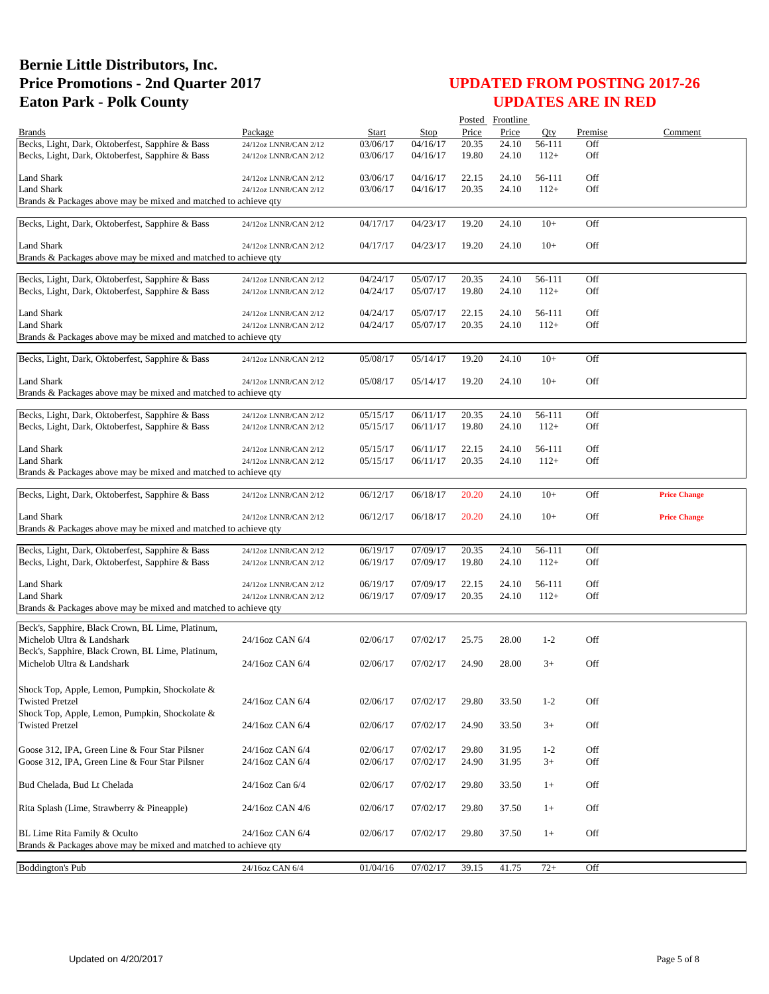|                                                                                 |                                                |                      |                      |                | Posted Frontline |                  |            |                     |
|---------------------------------------------------------------------------------|------------------------------------------------|----------------------|----------------------|----------------|------------------|------------------|------------|---------------------|
| <b>Brands</b>                                                                   | Package                                        | Start                | Stop                 | Price          | Price            | Oty              | Premise    | Comment             |
| Becks, Light, Dark, Oktoberfest, Sapphire & Bass                                | 24/12oz LNNR/CAN 2/12                          | 03/06/17             | 04/16/17             | 20.35          | 24.10            | 56-111           | Off        |                     |
| Becks, Light, Dark, Oktoberfest, Sapphire & Bass                                | 24/12oz LNNR/CAN 2/12                          | 03/06/17             | 04/16/17             | 19.80          | 24.10            | $112+$           | Off        |                     |
|                                                                                 |                                                |                      |                      |                |                  |                  |            |                     |
| <b>Land Shark</b><br><b>Land Shark</b>                                          | 24/12oz LNNR/CAN 2/12<br>24/12oz LNNR/CAN 2/12 | 03/06/17<br>03/06/17 | 04/16/17<br>04/16/17 | 22.15<br>20.35 | 24.10<br>24.10   | 56-111<br>$112+$ | Off<br>Off |                     |
| Brands & Packages above may be mixed and matched to achieve qty                 |                                                |                      |                      |                |                  |                  |            |                     |
|                                                                                 |                                                |                      |                      |                |                  |                  |            |                     |
| Becks, Light, Dark, Oktoberfest, Sapphire & Bass                                | 24/12oz LNNR/CAN 2/12                          | 04/17/17             | 04/23/17             | 19.20          | 24.10            | $10+$            | Off        |                     |
|                                                                                 |                                                |                      |                      |                |                  |                  |            |                     |
| Land Shark                                                                      | 24/12oz LNNR/CAN 2/12                          | 04/17/17             | 04/23/17             | 19.20          | 24.10            | $10+$            | Off        |                     |
| Brands & Packages above may be mixed and matched to achieve gty                 |                                                |                      |                      |                |                  |                  |            |                     |
| Becks, Light, Dark, Oktoberfest, Sapphire & Bass                                | 24/12oz LNNR/CAN 2/12                          | 04/24/17             | 05/07/17             | 20.35          | 24.10            | 56-111           | Off        |                     |
| Becks, Light, Dark, Oktoberfest, Sapphire & Bass                                | 24/12oz LNNR/CAN 2/12                          | 04/24/17             | 05/07/17             | 19.80          | 24.10            | $112+$           | Off        |                     |
|                                                                                 |                                                |                      |                      |                |                  |                  |            |                     |
| <b>Land Shark</b>                                                               | 24/12oz LNNR/CAN 2/12                          | 04/24/17             | 05/07/17             | 22.15          | 24.10            | 56-111           | Off        |                     |
| <b>Land Shark</b>                                                               | 24/12oz LNNR/CAN 2/12                          | 04/24/17             | 05/07/17             | 20.35          | 24.10            | $112+$           | Off        |                     |
| Brands & Packages above may be mixed and matched to achieve qty                 |                                                |                      |                      |                |                  |                  |            |                     |
| Becks, Light, Dark, Oktoberfest, Sapphire & Bass                                | 24/12oz LNNR/CAN 2/12                          | 05/08/17             | 05/14/17             | 19.20          | 24.10            | $10+$            | Off        |                     |
|                                                                                 |                                                |                      |                      |                |                  |                  |            |                     |
| Land Shark                                                                      | 24/12oz LNNR/CAN 2/12                          | 05/08/17             | 05/14/17             | 19.20          | 24.10            | $10+$            | Off        |                     |
| Brands & Packages above may be mixed and matched to achieve qty                 |                                                |                      |                      |                |                  |                  |            |                     |
|                                                                                 |                                                |                      |                      |                |                  |                  |            |                     |
| Becks, Light, Dark, Oktoberfest, Sapphire & Bass                                | 24/12oz LNNR/CAN 2/12                          | 05/15/17             | 06/11/17             | 20.35          | 24.10            | 56-111           | Off        |                     |
| Becks, Light, Dark, Oktoberfest, Sapphire & Bass                                | 24/12oz LNNR/CAN 2/12                          | 05/15/17             | 06/11/17             | 19.80          | 24.10            | $112+$           | Off        |                     |
| <b>Land Shark</b>                                                               | 24/12oz LNNR/CAN 2/12                          | 05/15/17             | 06/11/17             | 22.15          | 24.10            | 56-111           | Off        |                     |
| <b>Land Shark</b>                                                               | 24/12oz LNNR/CAN 2/12                          | 05/15/17             | 06/11/17             | 20.35          | 24.10            | $112+$           | Off        |                     |
| Brands & Packages above may be mixed and matched to achieve qty                 |                                                |                      |                      |                |                  |                  |            |                     |
|                                                                                 |                                                |                      |                      |                |                  |                  |            |                     |
| Becks, Light, Dark, Oktoberfest, Sapphire & Bass                                | 24/12oz LNNR/CAN 2/12                          | 06/12/17             | 06/18/17             | 20.20          | 24.10            | $10+$            | Off        | <b>Price Change</b> |
|                                                                                 |                                                |                      |                      |                |                  |                  |            |                     |
| Land Shark                                                                      | 24/12oz LNNR/CAN 2/12                          | 06/12/17             | 06/18/17             | 20.20          | 24.10            | $10+$            | Off        | <b>Price Change</b> |
| Brands & Packages above may be mixed and matched to achieve qty                 |                                                |                      |                      |                |                  |                  |            |                     |
| Becks, Light, Dark, Oktoberfest, Sapphire & Bass                                |                                                | 06/19/17             | 07/09/17             | 20.35          | 24.10            | 56-111           | Off        |                     |
| Becks, Light, Dark, Oktoberfest, Sapphire & Bass                                | 24/12oz LNNR/CAN 2/12<br>24/12oz LNNR/CAN 2/12 | 06/19/17             | 07/09/17             | 19.80          | 24.10            | $112+$           | Off        |                     |
|                                                                                 |                                                |                      |                      |                |                  |                  |            |                     |
| Land Shark                                                                      | 24/12oz LNNR/CAN 2/12                          | 06/19/17             | 07/09/17             | 22.15          | 24.10            | 56-111           | Off        |                     |
| <b>Land Shark</b>                                                               | 24/12oz LNNR/CAN 2/12                          | 06/19/17             | 07/09/17             | 20.35          | 24.10            | $112+$           | Off        |                     |
| Brands & Packages above may be mixed and matched to achieve qty                 |                                                |                      |                      |                |                  |                  |            |                     |
|                                                                                 |                                                |                      |                      |                |                  |                  |            |                     |
| Beck's, Sapphire, Black Crown, BL Lime, Platinum,<br>Michelob Ultra & Landshark | 24/16oz CAN 6/4                                | 02/06/17             | 07/02/17             | 25.75          | 28.00            | $1-2$            | Off        |                     |
| Beck's, Sapphire, Black Crown, BL Lime, Platinum,                               |                                                |                      |                      |                |                  |                  |            |                     |
| Michelob Ultra & Landshark                                                      | 24/16oz CAN 6/4                                | 02/06/17             | 07/02/17             | 24.90          | 28.00            | $3+$             | Off        |                     |
|                                                                                 |                                                |                      |                      |                |                  |                  |            |                     |
| Shock Top, Apple, Lemon, Pumpkin, Shockolate &                                  |                                                |                      |                      |                |                  |                  |            |                     |
| <b>Twisted Pretzel</b>                                                          | 24/16oz CAN 6/4                                | 02/06/17             | 07/02/17             | 29.80          | 33.50            | $1 - 2$          | Off        |                     |
| Shock Top, Apple, Lemon, Pumpkin, Shockolate &                                  |                                                |                      |                      |                |                  |                  |            |                     |
| <b>Twisted Pretzel</b>                                                          | 24/16oz CAN 6/4                                | 02/06/17             | 07/02/17             | 24.90          | 33.50            | $3+$             | Off        |                     |
|                                                                                 |                                                |                      |                      |                |                  |                  |            |                     |
| Goose 312, IPA, Green Line & Four Star Pilsner                                  | 24/16oz CAN 6/4                                | 02/06/17             | 07/02/17             | 29.80          | 31.95            | $1 - 2$          | Off        |                     |
| Goose 312, IPA, Green Line & Four Star Pilsner                                  | 24/16oz CAN 6/4                                | 02/06/17             | 07/02/17             | 24.90          | 31.95            | $3+$             | Off        |                     |
|                                                                                 |                                                |                      |                      |                |                  |                  |            |                     |
| Bud Chelada, Bud Lt Chelada                                                     | 24/16oz Can 6/4                                | 02/06/17             | 07/02/17             | 29.80          | 33.50            | $1+$             | Off        |                     |
|                                                                                 |                                                |                      |                      |                |                  |                  |            |                     |
| Rita Splash (Lime, Strawberry & Pineapple)                                      | 24/16oz CAN 4/6                                | 02/06/17             | 07/02/17             | 29.80          | 37.50            | $1+$             | Off        |                     |
|                                                                                 |                                                |                      |                      |                |                  |                  |            |                     |
| BL Lime Rita Family & Oculto                                                    | 24/16oz CAN 6/4                                | 02/06/17             | 07/02/17             | 29.80          | 37.50            | $1+$             | Off        |                     |
| Brands & Packages above may be mixed and matched to achieve qty                 |                                                |                      |                      |                |                  |                  |            |                     |
| <b>Boddington's Pub</b>                                                         | 24/16oz CAN 6/4                                | 01/04/16             | 07/02/17             | 39.15          | 41.75            | $72+$            | Off        |                     |
|                                                                                 |                                                |                      |                      |                |                  |                  |            |                     |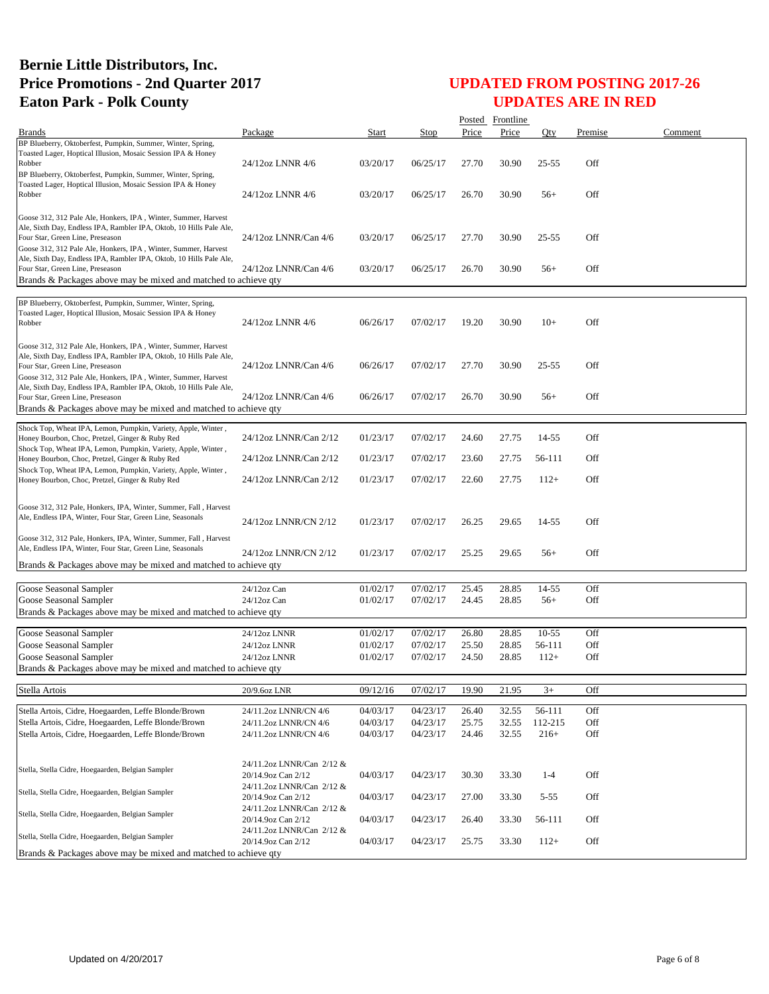|                                                                                                                                                                                                                                             |                                                 |              |          |       | Posted Frontline |           |         |         |
|---------------------------------------------------------------------------------------------------------------------------------------------------------------------------------------------------------------------------------------------|-------------------------------------------------|--------------|----------|-------|------------------|-----------|---------|---------|
| <b>Brands</b>                                                                                                                                                                                                                               | Package                                         | <b>Start</b> | Stop     | Price | Price            | Oty       | Premise | Comment |
| BP Blueberry, Oktoberfest, Pumpkin, Summer, Winter, Spring,<br>Toasted Lager, Hoptical Illusion, Mosaic Session IPA & Honey<br>Robber<br>BP Blueberry, Oktoberfest, Pumpkin, Summer, Winter, Spring,                                        | 24/12oz LNNR 4/6                                | 03/20/17     | 06/25/17 | 27.70 | 30.90            | $25 - 55$ | Off     |         |
| Toasted Lager, Hoptical Illusion, Mosaic Session IPA & Honey<br>Robber                                                                                                                                                                      | 24/12oz LNNR 4/6                                | 03/20/17     | 06/25/17 | 26.70 | 30.90            | $56+$     | Off     |         |
| Goose 312, 312 Pale Ale, Honkers, IPA, Winter, Summer, Harvest<br>Ale, Sixth Day, Endless IPA, Rambler IPA, Oktob, 10 Hills Pale Ale,<br>Four Star, Green Line, Preseason<br>Goose 312, 312 Pale Ale, Honkers, IPA, Winter, Summer, Harvest | 24/12oz LNNR/Can 4/6                            | 03/20/17     | 06/25/17 | 27.70 | 30.90            | $25 - 55$ | Off     |         |
| Ale, Sixth Day, Endless IPA, Rambler IPA, Oktob, 10 Hills Pale Ale,<br>Four Star, Green Line, Preseason<br>Brands & Packages above may be mixed and matched to achieve qty                                                                  | 24/12oz LNNR/Can 4/6                            | 03/20/17     | 06/25/17 | 26.70 | 30.90            | $56+$     | Off     |         |
| BP Blueberry, Oktoberfest, Pumpkin, Summer, Winter, Spring,<br>Toasted Lager, Hoptical Illusion, Mosaic Session IPA & Honey<br>Robber                                                                                                       | 24/12oz LNNR 4/6                                | 06/26/17     | 07/02/17 | 19.20 | 30.90            | $10+$     | Off     |         |
| Goose 312, 312 Pale Ale, Honkers, IPA, Winter, Summer, Harvest<br>Ale, Sixth Day, Endless IPA, Rambler IPA, Oktob, 10 Hills Pale Ale,<br>Four Star, Green Line, Preseason<br>Goose 312, 312 Pale Ale, Honkers, IPA, Winter, Summer, Harvest | 24/12oz LNNR/Can 4/6                            | 06/26/17     | 07/02/17 | 27.70 | 30.90            | $25 - 55$ | Off     |         |
| Ale, Sixth Day, Endless IPA, Rambler IPA, Oktob, 10 Hills Pale Ale,<br>Four Star, Green Line, Preseason<br>Brands & Packages above may be mixed and matched to achieve gty                                                                  | 24/12oz LNNR/Can 4/6                            | 06/26/17     | 07/02/17 | 26.70 | 30.90            | $56+$     | Off     |         |
| Shock Top, Wheat IPA, Lemon, Pumpkin, Variety, Apple, Winter,<br>Honey Bourbon, Choc, Pretzel, Ginger & Ruby Red                                                                                                                            | 24/12oz LNNR/Can 2/12                           | 01/23/17     | 07/02/17 | 24.60 | 27.75            | 14-55     | Off     |         |
| Shock Top, Wheat IPA, Lemon, Pumpkin, Variety, Apple, Winter,<br>Honey Bourbon, Choc, Pretzel, Ginger & Ruby Red<br>Shock Top, Wheat IPA, Lemon, Pumpkin, Variety, Apple, Winter,                                                           | 24/12oz LNNR/Can 2/12                           | 01/23/17     | 07/02/17 | 23.60 | 27.75            | 56-111    | Off     |         |
| Honey Bourbon, Choc, Pretzel, Ginger & Ruby Red                                                                                                                                                                                             | 24/12oz LNNR/Can 2/12                           | 01/23/17     | 07/02/17 | 22.60 | 27.75            | $112+$    | Off     |         |
| Goose 312, 312 Pale, Honkers, IPA, Winter, Summer, Fall, Harvest<br>Ale, Endless IPA, Winter, Four Star, Green Line, Seasonals                                                                                                              | 24/12oz LNNR/CN 2/12                            | 01/23/17     | 07/02/17 | 26.25 | 29.65            | 14-55     | Off     |         |
| Goose 312, 312 Pale, Honkers, IPA, Winter, Summer, Fall, Harvest<br>Ale, Endless IPA, Winter, Four Star, Green Line, Seasonals                                                                                                              | 24/12oz LNNR/CN 2/12                            | 01/23/17     | 07/02/17 | 25.25 | 29.65            | $56+$     | Off     |         |
| Brands & Packages above may be mixed and matched to achieve qty                                                                                                                                                                             |                                                 |              |          |       |                  |           |         |         |
| Goose Seasonal Sampler                                                                                                                                                                                                                      | 24/12oz Can                                     | 01/02/17     | 07/02/17 | 25.45 | 28.85            | 14-55     | Off     |         |
| Goose Seasonal Sampler                                                                                                                                                                                                                      | 24/12oz Can                                     | 01/02/17     | 07/02/17 | 24.45 | 28.85            | $56+$     | Off     |         |
| Brands & Packages above may be mixed and matched to achieve qty                                                                                                                                                                             |                                                 |              |          |       |                  |           |         |         |
| Goose Seasonal Sampler                                                                                                                                                                                                                      | 24/12oz LNNR                                    | 01/02/17     | 07/02/17 | 26.80 | 28.85            | $10-55$   | Off     |         |
| Goose Seasonal Sampler                                                                                                                                                                                                                      | 24/12oz LNNR                                    | 01/02/17     | 07/02/17 | 25.50 | 28.85            | 56-111    | Off     |         |
| Goose Seasonal Sampler                                                                                                                                                                                                                      | 24/12oz LNNR                                    | 01/02/17     | 07/02/17 | 24.50 | 28.85            | $112+$    | Off     |         |
| Brands & Packages above may be mixed and matched to achieve qty                                                                                                                                                                             |                                                 |              |          |       |                  |           |         |         |
| Stella Artois                                                                                                                                                                                                                               | 20/9.6oz LNR                                    | 09/12/16     | 07/02/17 | 19.90 | 21.95            | $3+$      | Off     |         |
| Stella Artois, Cidre, Hoegaarden, Leffe Blonde/Brown                                                                                                                                                                                        | 24/11.2oz LNNR/CN 4/6                           | 04/03/17     | 04/23/17 | 26.40 | 32.55            | 56-111    | Off     |         |
| Stella Artois, Cidre, Hoegaarden, Leffe Blonde/Brown                                                                                                                                                                                        | 24/11.2oz LNNR/CN 4/6                           | 04/03/17     | 04/23/17 | 25.75 | 32.55            | 112-215   | Off     |         |
| Stella Artois, Cidre, Hoegaarden, Leffe Blonde/Brown                                                                                                                                                                                        | 24/11.2oz LNNR/CN 4/6                           | 04/03/17     | 04/23/17 | 24.46 | 32.55            | $216+$    | Off     |         |
| Stella, Stella Cidre, Hoegaarden, Belgian Sampler                                                                                                                                                                                           | 24/11.2oz LNNR/Can 2/12 &<br>20/14.9oz Can 2/12 | 04/03/17     | 04/23/17 | 30.30 | 33.30            | $1 - 4$   | Off     |         |
| Stella, Stella Cidre, Hoegaarden, Belgian Sampler                                                                                                                                                                                           | 24/11.2oz LNNR/Can 2/12 &<br>20/14.9oz Can 2/12 | 04/03/17     | 04/23/17 | 27.00 | 33.30            | $5 - 55$  | Off     |         |
| Stella, Stella Cidre, Hoegaarden, Belgian Sampler                                                                                                                                                                                           | 24/11.2oz LNNR/Can 2/12 &<br>20/14.9oz Can 2/12 | 04/03/17     | 04/23/17 | 26.40 | 33.30            | 56-111    | Off     |         |
| Stella, Stella Cidre, Hoegaarden, Belgian Sampler                                                                                                                                                                                           | 24/11.2oz LNNR/Can 2/12 &<br>20/14.9oz Can 2/12 | 04/03/17     | 04/23/17 | 25.75 | 33.30            | $112+$    | Off     |         |
| Brands & Packages above may be mixed and matched to achieve qty                                                                                                                                                                             |                                                 |              |          |       |                  |           |         |         |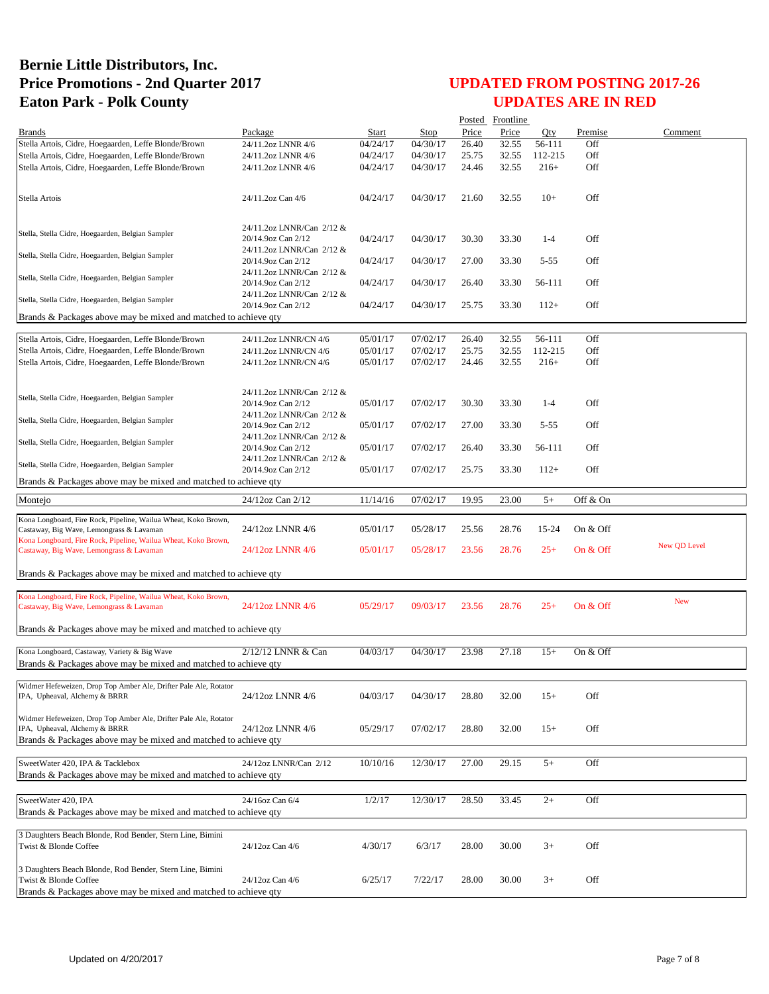|                                                                                                                 |                                                                              |          |          |       | Posted Frontline |          |            |              |
|-----------------------------------------------------------------------------------------------------------------|------------------------------------------------------------------------------|----------|----------|-------|------------------|----------|------------|--------------|
| <b>Brands</b>                                                                                                   | Package                                                                      | Start    | Stop     | Price | Price            | Oty      | Premise    | Comment      |
| Stella Artois, Cidre, Hoegaarden, Leffe Blonde/Brown                                                            | 24/11.2oz LNNR 4/6                                                           | 04/24/17 | 04/30/17 | 26.40 | 32.55            | 56-111   | Off        |              |
| Stella Artois, Cidre, Hoegaarden, Leffe Blonde/Brown                                                            | 24/11.2oz LNNR 4/6                                                           | 04/24/17 | 04/30/17 | 25.75 | 32.55            | 112-215  | Off        |              |
| Stella Artois, Cidre, Hoegaarden, Leffe Blonde/Brown                                                            | 24/11.2oz LNNR 4/6                                                           | 04/24/17 | 04/30/17 | 24.46 | 32.55            | $216+$   | Off        |              |
| Stella Artois                                                                                                   | 24/11.2oz Can 4/6                                                            | 04/24/17 | 04/30/17 | 21.60 | 32.55            | $10+$    | Off        |              |
|                                                                                                                 |                                                                              |          |          |       |                  |          |            |              |
|                                                                                                                 | 24/11.2oz LNNR/Can 2/12 &                                                    |          |          |       |                  |          |            |              |
| Stella, Stella Cidre, Hoegaarden, Belgian Sampler                                                               | 20/14.9oz Can 2/12                                                           | 04/24/17 | 04/30/17 | 30.30 | 33.30            | $1 - 4$  | Off        |              |
| Stella, Stella Cidre, Hoegaarden, Belgian Sampler                                                               | 24/11.2oz LNNR/Can 2/12 &<br>20/14.9oz Can 2/12<br>24/11.2oz LNNR/Can 2/12 & | 04/24/17 | 04/30/17 | 27.00 | 33.30            | $5 - 55$ | Off        |              |
| Stella, Stella Cidre, Hoegaarden, Belgian Sampler                                                               | 20/14.9oz Can 2/12<br>24/11.2oz LNNR/Can 2/12 &                              | 04/24/17 | 04/30/17 | 26.40 | 33.30            | 56-111   | Off        |              |
| Stella, Stella Cidre, Hoegaarden, Belgian Sampler                                                               | 20/14.9oz Can 2/12                                                           | 04/24/17 | 04/30/17 | 25.75 | 33.30            | $112+$   | Off        |              |
| Brands & Packages above may be mixed and matched to achieve qty                                                 |                                                                              |          |          |       |                  |          |            |              |
| Stella Artois, Cidre, Hoegaarden, Leffe Blonde/Brown                                                            | 24/11.2oz LNNR/CN 4/6                                                        | 05/01/17 | 07/02/17 | 26.40 | 32.55            | 56-111   | Off        |              |
| Stella Artois, Cidre, Hoegaarden, Leffe Blonde/Brown                                                            | 24/11.2oz LNNR/CN 4/6                                                        | 05/01/17 | 07/02/17 | 25.75 | 32.55            | 112-215  | Off        |              |
| Stella Artois, Cidre, Hoegaarden, Leffe Blonde/Brown                                                            | 24/11.2oz LNNR/CN 4/6                                                        | 05/01/17 | 07/02/17 | 24.46 | 32.55            | $216+$   | Off        |              |
|                                                                                                                 |                                                                              |          |          |       |                  |          |            |              |
|                                                                                                                 | 24/11.2oz LNNR/Can 2/12 &                                                    |          |          |       |                  |          |            |              |
| Stella, Stella Cidre, Hoegaarden, Belgian Sampler                                                               | 20/14.9oz Can 2/12                                                           | 05/01/17 | 07/02/17 | 30.30 | 33.30            | $1 - 4$  | Off        |              |
| Stella, Stella Cidre, Hoegaarden, Belgian Sampler                                                               | 24/11.2oz LNNR/Can 2/12 &                                                    |          |          |       |                  |          |            |              |
|                                                                                                                 | 20/14.9oz Can 2/12<br>24/11.2oz LNNR/Can 2/12 &                              | 05/01/17 | 07/02/17 | 27.00 | 33.30            | $5 - 55$ | Off        |              |
| Stella, Stella Cidre, Hoegaarden, Belgian Sampler                                                               | 20/14.9oz Can 2/12<br>24/11.2oz LNNR/Can 2/12 &                              | 05/01/17 | 07/02/17 | 26.40 | 33.30            | 56-111   | Off        |              |
| Stella, Stella Cidre, Hoegaarden, Belgian Sampler                                                               | 20/14.9oz Can 2/12                                                           | 05/01/17 | 07/02/17 | 25.75 | 33.30            | $112+$   | Off        |              |
| Brands & Packages above may be mixed and matched to achieve qty                                                 |                                                                              |          |          |       |                  |          |            |              |
| Montejo                                                                                                         | 24/12oz Can 2/12                                                             | 11/14/16 | 07/02/17 | 19.95 | 23.00            | $5+$     | Off & On   |              |
| Kona Longboard, Fire Rock, Pipeline, Wailua Wheat, Koko Brown,                                                  |                                                                              |          |          |       |                  |          |            |              |
| Castaway, Big Wave, Lemongrass & Lavaman                                                                        | 24/12oz LNNR 4/6                                                             | 05/01/17 | 05/28/17 | 25.56 | 28.76            | 15-24    | On & Off   |              |
| Kona Longboard, Fire Rock, Pipeline, Wailua Wheat, Koko Brown,<br>Castaway, Big Wave, Lemongrass & Lavaman      | 24/12oz LNNR 4/6                                                             | 05/01/17 | 05/28/17 | 23.56 | 28.76            | $25+$    | On $&$ Off | New QD Level |
|                                                                                                                 |                                                                              |          |          |       |                  |          |            |              |
| Brands & Packages above may be mixed and matched to achieve qty                                                 |                                                                              |          |          |       |                  |          |            |              |
| Kona Longboard, Fire Rock, Pipeline, Wailua Wheat, Koko Brown,                                                  |                                                                              |          |          |       |                  |          |            | <b>New</b>   |
| Castaway, Big Wave, Lemongrass & Lavaman                                                                        | 24/12oz LNNR 4/6                                                             | 05/29/17 | 09/03/17 | 23.56 | 28.76            | $25+$    | On $&$ Off |              |
| Brands & Packages above may be mixed and matched to achieve qty                                                 |                                                                              |          |          |       |                  |          |            |              |
|                                                                                                                 |                                                                              |          |          |       |                  |          |            |              |
| Kona Longboard, Castaway, Variety & Big Wave<br>Brands & Packages above may be mixed and matched to achieve qty | 2/12/12 LNNR & Can                                                           | 04/03/17 | 04/30/17 | 23.98 | 27.18            | $15+$    | On & Off   |              |
|                                                                                                                 |                                                                              |          |          |       |                  |          |            |              |
| Widmer Hefeweizen, Drop Top Amber Ale, Drifter Pale Ale, Rotator                                                |                                                                              |          |          |       |                  |          |            |              |
| IPA, Upheaval, Alchemy & BRRR                                                                                   | 24/12oz LNNR 4/6                                                             | 04/03/17 | 04/30/17 | 28.80 | 32.00            | $15+$    | Off        |              |
| Widmer Hefeweizen, Drop Top Amber Ale, Drifter Pale Ale, Rotator                                                |                                                                              |          |          |       |                  |          |            |              |
| IPA, Upheaval, Alchemy & BRRR                                                                                   | 24/12oz LNNR 4/6                                                             | 05/29/17 | 07/02/17 | 28.80 | 32.00            | $15+$    | Off        |              |
| Brands & Packages above may be mixed and matched to achieve qty                                                 |                                                                              |          |          |       |                  |          |            |              |
| SweetWater 420, IPA & Tacklebox                                                                                 | 24/12oz LNNR/Can 2/12                                                        | 10/10/16 | 12/30/17 | 27.00 | 29.15            | $5+$     | Off        |              |
| Brands & Packages above may be mixed and matched to achieve qty                                                 |                                                                              |          |          |       |                  |          |            |              |
|                                                                                                                 |                                                                              |          |          |       |                  |          |            |              |
| SweetWater 420, IPA                                                                                             | 24/16oz Can 6/4                                                              | 1/2/17   | 12/30/17 | 28.50 | 33.45            | $2+$     | Off        |              |
| Brands & Packages above may be mixed and matched to achieve qty                                                 |                                                                              |          |          |       |                  |          |            |              |
| 3 Daughters Beach Blonde, Rod Bender, Stern Line, Bimini                                                        |                                                                              |          |          |       |                  |          |            |              |
| Twist & Blonde Coffee                                                                                           | 24/12oz Can 4/6                                                              | 4/30/17  | 6/3/17   | 28.00 | 30.00            | $3+$     | Off        |              |
| 3 Daughters Beach Blonde, Rod Bender, Stern Line, Bimini                                                        |                                                                              |          |          |       |                  |          |            |              |
| Twist & Blonde Coffee                                                                                           | 24/12oz Can 4/6                                                              | 6/25/17  | 7/22/17  | 28.00 | 30.00            | $3+$     | Off        |              |
| Brands & Packages above may be mixed and matched to achieve qty                                                 |                                                                              |          |          |       |                  |          |            |              |